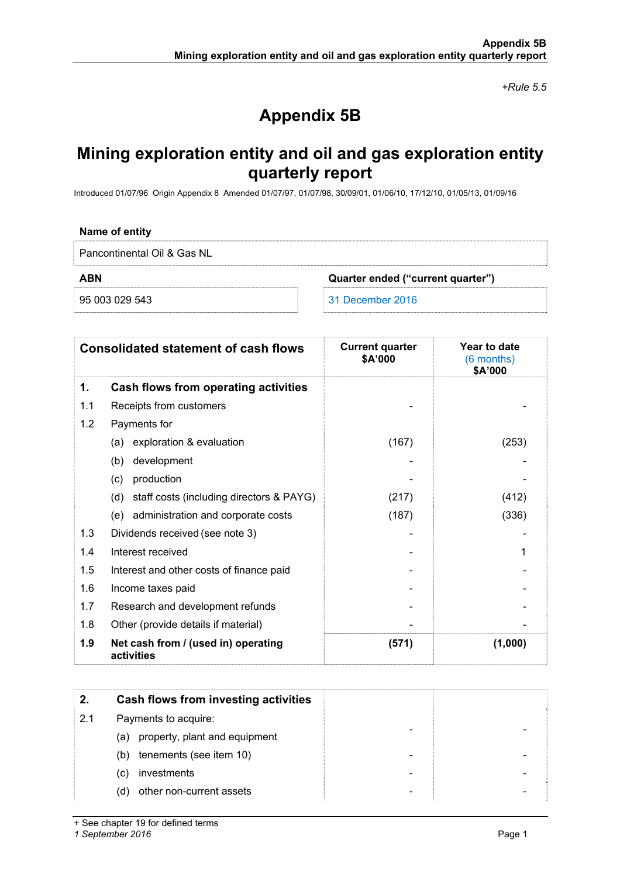*+Rule 5.5* 

# **Appendix 5B**

## **Mining exploration entity and oil and gas exploration entity quarterly report**

Introduced 01/07/96 Origin Appendix 8 Amended 01/07/97, 01/07/98, 30/09/01, 01/06/10, 17/12/10, 01/05/13, 01/09/16

#### **Name of entity**

Pancontinental Oil & Gas NL

**ABN Quarter ended ("current quarter")** 

95 003 029 543 31 December 2016

|     | <b>Consolidated statement of cash flows</b>       | <b>Current quarter</b><br>\$A'000 | Year to date<br>(6 months)<br>\$A'000 |
|-----|---------------------------------------------------|-----------------------------------|---------------------------------------|
| 1.  | Cash flows from operating activities              |                                   |                                       |
| 1.1 | Receipts from customers                           |                                   |                                       |
| 1.2 | Payments for                                      |                                   |                                       |
|     | exploration & evaluation<br>(a)                   | (167)                             | (253)                                 |
|     | development<br>(b)                                |                                   |                                       |
|     | production<br>(c)                                 |                                   |                                       |
|     | staff costs (including directors & PAYG)<br>(d)   | (217)                             | (412)                                 |
|     | administration and corporate costs<br>(e)         | (187)                             | (336)                                 |
| 1.3 | Dividends received (see note 3)                   |                                   |                                       |
| 1.4 | Interest received                                 |                                   | 1                                     |
| 1.5 | Interest and other costs of finance paid          |                                   |                                       |
| 1.6 | Income taxes paid                                 |                                   |                                       |
| 1.7 | Research and development refunds                  |                                   |                                       |
| 1.8 | Other (provide details if material)               |                                   |                                       |
| 1.9 | Net cash from / (used in) operating<br>activities | (571)                             | (1,000)                               |

| 2.  | Cash flows from investing activities |
|-----|--------------------------------------|
| 2.1 | Payments to acquire:                 |
|     | property, plant and equipment<br>(a) |
|     | tenements (see item 10)<br>(b)       |
|     | investments<br>(C)                   |
|     | other non-current assets<br>(d)      |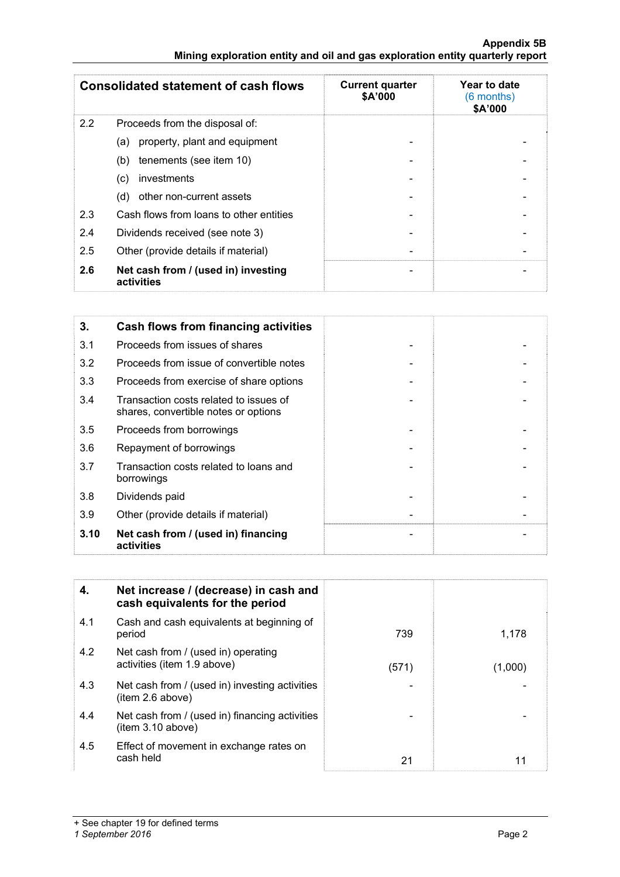#### **Appendix 5B Mining exploration entity and oil and gas exploration entity quarterly report**

| <b>Consolidated statement of cash flows</b> |                                                   | <b>Current quarter</b><br>\$A'000 | Year to date<br>(6 months)<br>\$A'000 |  |
|---------------------------------------------|---------------------------------------------------|-----------------------------------|---------------------------------------|--|
| 2.2                                         | Proceeds from the disposal of:                    |                                   |                                       |  |
|                                             | property, plant and equipment<br>(a)              |                                   |                                       |  |
|                                             | tenements (see item 10)<br>(b)                    |                                   |                                       |  |
|                                             | investments<br>(C)                                |                                   |                                       |  |
|                                             | other non-current assets<br>(d)                   |                                   |                                       |  |
| 2.3                                         | Cash flows from loans to other entities           |                                   |                                       |  |
| 2.4                                         | Dividends received (see note 3)                   |                                   |                                       |  |
| 2.5                                         | Other (provide details if material)               |                                   |                                       |  |
| 2.6                                         | Net cash from / (used in) investing<br>activities | $\overline{\phantom{a}}$          |                                       |  |

| 3.   | Cash flows from financing activities                                           |  |
|------|--------------------------------------------------------------------------------|--|
| 3.1  | Proceeds from issues of shares                                                 |  |
| 3.2  | Proceeds from issue of convertible notes                                       |  |
| 3.3  | Proceeds from exercise of share options                                        |  |
| 3.4  | Transaction costs related to issues of<br>shares, convertible notes or options |  |
| 3.5  | Proceeds from borrowings                                                       |  |
| 3.6  | Repayment of borrowings                                                        |  |
| 3.7  | Transaction costs related to loans and<br>borrowings                           |  |
| 3.8  | Dividends paid                                                                 |  |
| 3.9  | Other (provide details if material)                                            |  |
| 3.10 | Net cash from / (used in) financing<br>activities                              |  |

| 4.  | Net increase / (decrease) in cash and<br>cash equivalents for the period |       |         |
|-----|--------------------------------------------------------------------------|-------|---------|
| 4.1 | Cash and cash equivalents at beginning of<br>period                      | 739   | 1,178   |
| 4.2 | Net cash from / (used in) operating<br>activities (item 1.9 above)       | (571) | (1,000) |
| 4.3 | Net cash from / (used in) investing activities<br>item 2.6 above)        |       |         |
| 4.4 | Net cash from / (used in) financing activities<br>(item 3.10 above)      |       |         |
| 4.5 | Effect of movement in exchange rates on<br>cash held                     | 21    | 11      |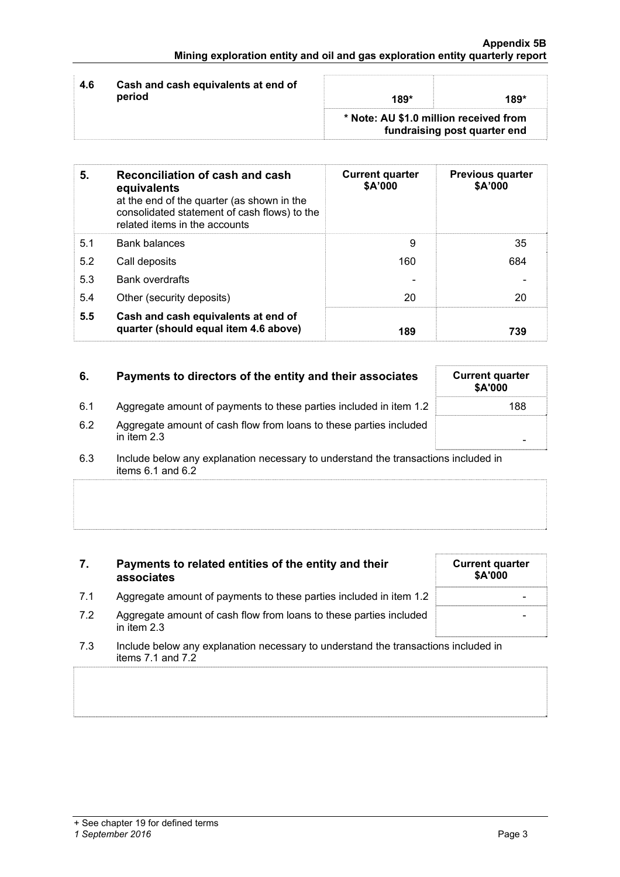| Cash and cash equivalents at end of<br>4.6<br>period<br>189*<br>189* |  | * Note: AU \$1.0 million received from<br>fundraising post quarter end |  |
|----------------------------------------------------------------------|--|------------------------------------------------------------------------|--|
|                                                                      |  |                                                                        |  |

| 5.  | Reconciliation of cash and cash<br>equivalents<br>at the end of the quarter (as shown in the<br>consolidated statement of cash flows) to the<br>related items in the accounts | <b>Current quarter</b><br>\$A'000 | <b>Previous quarter</b><br>\$A'000 |
|-----|-------------------------------------------------------------------------------------------------------------------------------------------------------------------------------|-----------------------------------|------------------------------------|
| 5.1 | <b>Bank balances</b>                                                                                                                                                          | 9                                 | 35                                 |
| 5.2 | Call deposits                                                                                                                                                                 | 160                               | 684                                |
| 5.3 | <b>Bank overdrafts</b>                                                                                                                                                        |                                   |                                    |
| 5.4 | Other (security deposits)                                                                                                                                                     | 20                                | 20                                 |
| 5.5 | Cash and cash equivalents at end of<br>quarter (should equal item 4.6 above)                                                                                                  | 189                               | 739                                |

| 6.  | Payments to directors of the entity and their associates                            | <b>Current quarter</b><br>\$A'000 |
|-----|-------------------------------------------------------------------------------------|-----------------------------------|
| 6.1 | Aggregate amount of payments to these parties included in item 1.2                  | 188                               |
| 6.2 | Aggregate amount of cash flow from loans to these parties included<br>in item $2.3$ |                                   |

<sup>6.3</sup> Include below any explanation necessary to understand the transactions included in items 6.1 and 6.2

### **7. Payments to related entities of the entity and their associates**

- 7.1 Aggregate amount of payments to these parties included in item 1.2
- 7.2 Aggregate amount of cash flow from loans to these parties included in item 2.3
- 7.3 Include below any explanation necessary to understand the transactions included in items 7.1 and 7.2

| <b>Current quarter</b> |
|------------------------|
|                        |
|                        |
|                        |
|                        |
|                        |
|                        |
| \$A'000                |
|                        |
|                        |
|                        |
|                        |
|                        |
|                        |
|                        |
|                        |
|                        |
|                        |
|                        |
|                        |
|                        |
|                        |
|                        |
|                        |
|                        |
|                        |
|                        |
|                        |
|                        |
|                        |
|                        |
|                        |
|                        |
|                        |
|                        |
|                        |
|                        |
|                        |
|                        |
|                        |
|                        |
|                        |
|                        |
|                        |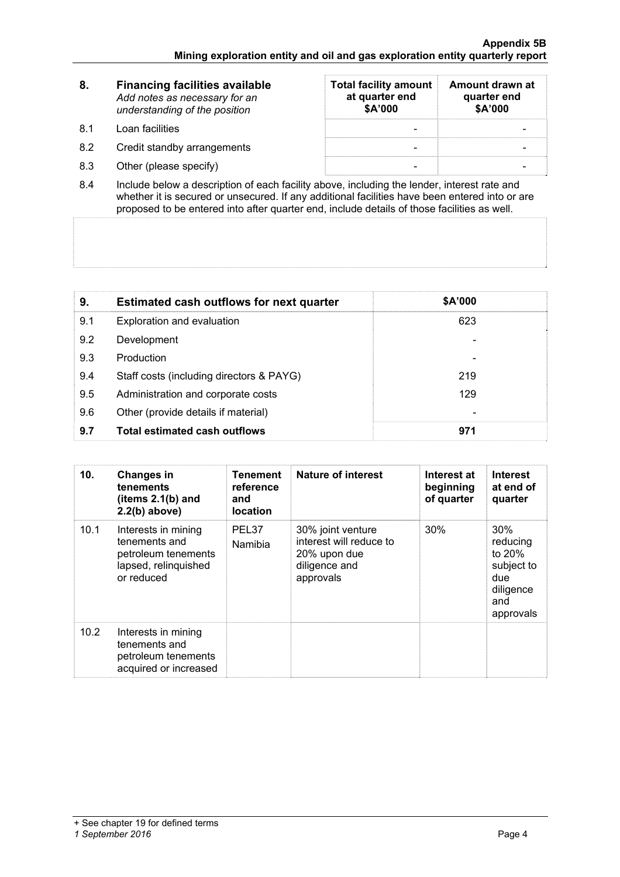| 8.        | <b>Financing facilities available</b><br>Add notes as necessary for an<br>understanding of the position | <b>Total facility amount</b><br>at quarter end<br>\$A'000 | Amount drawn at<br>quarter end<br>\$A'000 |
|-----------|---------------------------------------------------------------------------------------------------------|-----------------------------------------------------------|-------------------------------------------|
| <b>81</b> | Loan facilities                                                                                         |                                                           |                                           |
| 8.2       | Credit standby arrangements                                                                             |                                                           |                                           |
| 8.3       | Other (please specify)                                                                                  |                                                           |                                           |

8.4 Include below a description of each facility above, including the lender, interest rate and whether it is secured or unsecured. If any additional facilities have been entered into or are proposed to be entered into after quarter end, include details of those facilities as well.

| 9.  | <b>Estimated cash outflows for next quarter</b> | \$A'000 |  |
|-----|-------------------------------------------------|---------|--|
| 9.1 | Exploration and evaluation                      | 623     |  |
| 9.2 | Development                                     |         |  |
| 9.3 | Production                                      |         |  |
| 9.4 | Staff costs (including directors & PAYG)        | 219     |  |
| 9.5 | Administration and corporate costs              | 129     |  |
| 9.6 | Other (provide details if material)             |         |  |
| 9.7 | <b>Total estimated cash outflows</b>            | 971     |  |

| 10.  | <b>Changes in</b><br><b>tenements</b><br>(items $2.1(b)$ and<br>$2.2(b)$ above)                   | Tenement<br>reference<br>and<br><b>location</b> | Nature of interest                                                                         | Interest at<br>beginning<br>of quarter | <b>Interest</b><br>at end of<br>quarter                                         |
|------|---------------------------------------------------------------------------------------------------|-------------------------------------------------|--------------------------------------------------------------------------------------------|----------------------------------------|---------------------------------------------------------------------------------|
| 10.1 | Interests in mining<br>tenements and<br>petroleum tenements<br>lapsed, relinquished<br>or reduced | PEL37<br>Namibia                                | 30% joint venture<br>interest will reduce to<br>20% upon due<br>diligence and<br>approvals | 30%                                    | 30%<br>reducing<br>to 20%<br>subject to<br>due<br>diligence<br>and<br>approvals |
| 10.2 | Interests in mining<br>tenements and<br>petroleum tenements<br>acquired or increased              |                                                 |                                                                                            |                                        |                                                                                 |